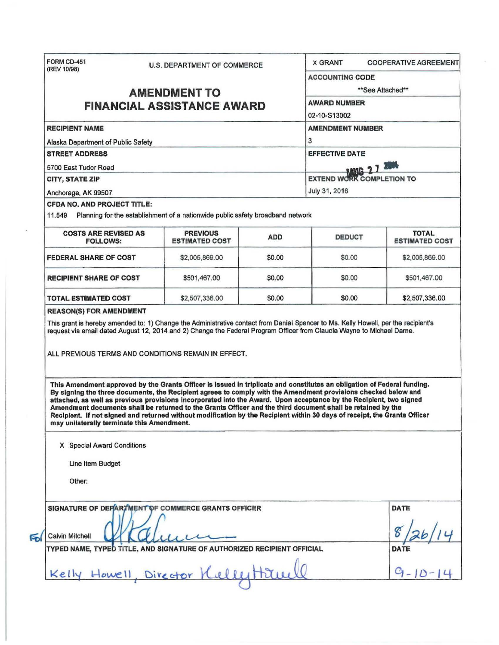| (REV 10/98)                                                                                                                                                                                                                                                                                                                                                                                                                                                                                                                                                                                                                                               | <b>U.S. DEPARTMENT OF COMMERCE</b> |        |                                                                                                                                  |                |  |                                                                                                                             |                                          |            |               |                                       |
|-----------------------------------------------------------------------------------------------------------------------------------------------------------------------------------------------------------------------------------------------------------------------------------------------------------------------------------------------------------------------------------------------------------------------------------------------------------------------------------------------------------------------------------------------------------------------------------------------------------------------------------------------------------|------------------------------------|--------|----------------------------------------------------------------------------------------------------------------------------------|----------------|--|-----------------------------------------------------------------------------------------------------------------------------|------------------------------------------|------------|---------------|---------------------------------------|
|                                                                                                                                                                                                                                                                                                                                                                                                                                                                                                                                                                                                                                                           |                                    |        | <b>ACCOUNTING CODE</b>                                                                                                           |                |  |                                                                                                                             |                                          |            |               |                                       |
| <b>AMENDMENT TO</b><br><b>FINANCIAL ASSISTANCE AWARD</b>                                                                                                                                                                                                                                                                                                                                                                                                                                                                                                                                                                                                  |                                    |        | **See Attached**<br><b>AWARD NUMBER</b>                                                                                          |                |  |                                                                                                                             |                                          |            |               |                                       |
|                                                                                                                                                                                                                                                                                                                                                                                                                                                                                                                                                                                                                                                           |                                    |        |                                                                                                                                  |                |  |                                                                                                                             |                                          |            | 02-10-S13002  |                                       |
| <b>RECIPIENT NAME</b><br>Alaska Department of Public Safety<br><b>STREET ADDRESS</b><br>5700 East Tudor Road<br><b>CITY, STATE ZIP</b><br>Anchorage, AK 99507                                                                                                                                                                                                                                                                                                                                                                                                                                                                                             |                                    |        | <b>AMENDMENT NUMBER</b><br>3<br><b>EFFECTIVE DATE</b><br><b>MIG 27 2000</b><br><b>EXTEND WORK COMPLETION TO</b><br>July 31, 2016 |                |  |                                                                                                                             |                                          |            |               |                                       |
|                                                                                                                                                                                                                                                                                                                                                                                                                                                                                                                                                                                                                                                           |                                    |        |                                                                                                                                  |                |  | <b>CFDA NO. AND PROJECT TITLE:</b><br>11.549 Planning for the establishment of a nationwide public safety broadband network |                                          |            |               |                                       |
|                                                                                                                                                                                                                                                                                                                                                                                                                                                                                                                                                                                                                                                           |                                    |        |                                                                                                                                  |                |  | <b>COSTS ARE REVISED AS</b><br><b>FOLLOWS:</b>                                                                              | <b>PREVIOUS</b><br><b>ESTIMATED COST</b> | <b>ADD</b> | <b>DEDUCT</b> | <b>TOTAL</b><br><b>ESTIMATED COST</b> |
|                                                                                                                                                                                                                                                                                                                                                                                                                                                                                                                                                                                                                                                           |                                    |        |                                                                                                                                  |                |  | <b>FEDERAL SHARE OF COST</b>                                                                                                | \$2,005,869.00                           | \$0.00     | \$0.00        | \$2,005,869.00                        |
|                                                                                                                                                                                                                                                                                                                                                                                                                                                                                                                                                                                                                                                           |                                    |        |                                                                                                                                  |                |  | <b>RECIPIENT SHARE OF COST</b>                                                                                              | \$501,467.00                             | \$0.00     | \$0.00        | \$501,467.00                          |
|                                                                                                                                                                                                                                                                                                                                                                                                                                                                                                                                                                                                                                                           |                                    |        |                                                                                                                                  |                |  |                                                                                                                             |                                          |            |               |                                       |
| TOTAL ESTIMATED COST<br><b>REASON(S) FOR AMENDMENT</b><br>This grant is hereby amended to: 1) Change the Administrative contact from Danial Spencer to Ms. Kelly Howell, per the recipient's<br>request via email dated August 12, 2014 and 2) Change the Federal Program Officer from Claudia Wayne to Michael Dame.                                                                                                                                                                                                                                                                                                                                     | \$2,507,336.00                     | \$0.00 | \$0.00                                                                                                                           | \$2,507,336.00 |  |                                                                                                                             |                                          |            |               |                                       |
| ALL PREVIOUS TERMS AND CONDITIONS REMAIN IN EFFECT.                                                                                                                                                                                                                                                                                                                                                                                                                                                                                                                                                                                                       |                                    |        |                                                                                                                                  |                |  |                                                                                                                             |                                          |            |               |                                       |
| This Amendment approved by the Grants Officer is issued in triplicate and constitutes an obligation of Federal funding.<br>By signing the three documents, the Recipient agrees to comply with the Amendment provisions checked below and<br>attached, as well as previous provisions incorporated into the Award. Upon acceptance by the Recipient, two signed<br>Amendment documents shall be returned to the Grants Officer and the third document shall be retained by the<br>Recipient. If not signed and returned without modification by the Recipient within 30 days of receipt, the Grants Officer<br>may unilaterally terminate this Amendment. |                                    |        |                                                                                                                                  |                |  |                                                                                                                             |                                          |            |               |                                       |
| X Special Award Conditions                                                                                                                                                                                                                                                                                                                                                                                                                                                                                                                                                                                                                                |                                    |        |                                                                                                                                  |                |  |                                                                                                                             |                                          |            |               |                                       |
| Line Item Budget                                                                                                                                                                                                                                                                                                                                                                                                                                                                                                                                                                                                                                          |                                    |        |                                                                                                                                  |                |  |                                                                                                                             |                                          |            |               |                                       |
| Other:                                                                                                                                                                                                                                                                                                                                                                                                                                                                                                                                                                                                                                                    |                                    |        |                                                                                                                                  |                |  |                                                                                                                             |                                          |            |               |                                       |
| SIGNATURE OF DEPARTMENT OF COMMERCE GRANTS OFFICER                                                                                                                                                                                                                                                                                                                                                                                                                                                                                                                                                                                                        |                                    |        |                                                                                                                                  | <b>DATE</b>    |  |                                                                                                                             |                                          |            |               |                                       |
| <b>Calvin Mitchell</b>                                                                                                                                                                                                                                                                                                                                                                                                                                                                                                                                                                                                                                    |                                    |        |                                                                                                                                  |                |  |                                                                                                                             |                                          |            |               |                                       |
| TYPED NAME, TYPED TITLE, AND SIGNATURE OF AUTHORIZED RECIPIENT OFFICIAL                                                                                                                                                                                                                                                                                                                                                                                                                                                                                                                                                                                   |                                    |        |                                                                                                                                  | DATE           |  |                                                                                                                             |                                          |            |               |                                       |